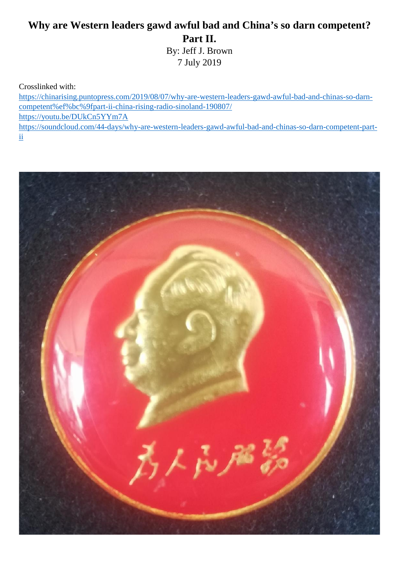## **Why are Western leaders gawd awful bad and China's so darn competent? Part II.**

By: Jeff J. Brown 7 July 2019

Crosslinked with:

https://chinarising.puntopress.com/2019/08/07/why-are-western-leaders-gawd-awful-bad-and-chinas-so-darn competent%ef%bc%9fpart-ii-china-rising-radio-sinoland-190807/ https://youtu.be/DUkCn5YYm7A https://soundcloud.com/44-days/why-are-western-leaders-gawd-awful-bad-and-chinas-so-darn-competent-partii

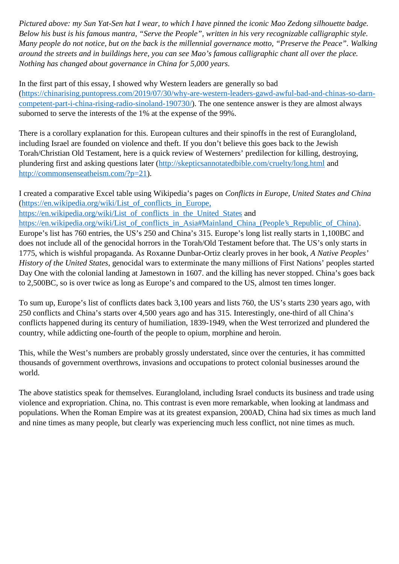*Pictured above: my Sun Yat-Sen hat I wear, to which I have pinned the iconic Mao Zedong silhouette badge. Below his bust is his famous mantra, "Serve the People", written in his very recognizable calligraphic style. Many people do not notice, but on the back is the millennial governance motto, "Preserve the Peace". Walking around the streets and in buildings here, you can see Mao's famous calligraphic chant all over the place. Nothing has changed about governance in China for 5,000 years.*

In the first part of this essay, I showed why Western leaders are generally so bad (https://chinarising.puntopress.com/2019/07/30/why-are-western-leaders-gawd-awful-bad-and-chinas-so-darn competent-part-i-china-rising-radio-sinoland-190730/). The one sentence answer is they are almost always suborned to serve the interests of the 1% at the expense of the 99%.

There is a corollary explanation for this. European cultures and their spinoffs in the rest of Eurangloland, including Israel are founded on violence and theft. If you don't believe this goes back to the Jewish Torah/Christian Old Testament, here is a quick review of Westerners' predilection for killing, destroying, plundering first and asking questions later (http://skepticsannotatedbible.com/cruelty/long.html and http://commonsenseatheism.com/?p=21).

I created a comparative Excel table using Wikipedia's pages on *Conflicts in Europe, United States and China* (https://en.wikipedia.org/wiki/List\_of\_conflicts\_in\_Europe, https://en.wikipedia.org/wiki/List\_of\_conflicts\_in\_the\_United\_States and https://en.wikipedia.org/wiki/List\_of\_conflicts\_in\_Asia#Mainland\_China\_(People's\_Republic\_of\_China). Europe's list has 760 entries, the US's 250 and China's 315. Europe's long list really starts in 1,100BC and does not include all of the genocidal horrors in the Torah/Old Testament before that. The US's only starts in 1775, which is wishful propaganda. As Roxanne Dunbar-Ortiz clearly proves in her book, *A Native Peoples' History of the United States*, genocidal wars to exterminate the many millions of First Nations' peoples started Day One with the colonial landing at Jamestown in 1607. and the killing has never stopped. China's goes back to 2,500BC, so is over twice as long as Europe's and compared to the US, almost ten times longer.

To sum up, Europe's list of conflicts dates back 3,100 years and lists 760, the US's starts 230 years ago, with 250 conflicts and China's starts over 4,500 years ago and has 315. Interestingly, one-third of all China's conflicts happened during its century of humiliation, 1839-1949, when the West terrorized and plundered the country, while addicting one-fourth of the people to opium, morphine and heroin.

This, while the West's numbers are probably grossly understated, since over the centuries, it has committed thousands of government overthrows, invasions and occupations to protect colonial businesses around the world.

The above statistics speak for themselves. Eurangloland, including Israel conducts its business and trade using violence and expropriation. China, no. This contrast is even more remarkable, when looking at landmass and populations. When the Roman Empire was at its greatest expansion, 200AD, China had six times as much land and nine times as many people, but clearly was experiencing much less conflict, not nine times as much.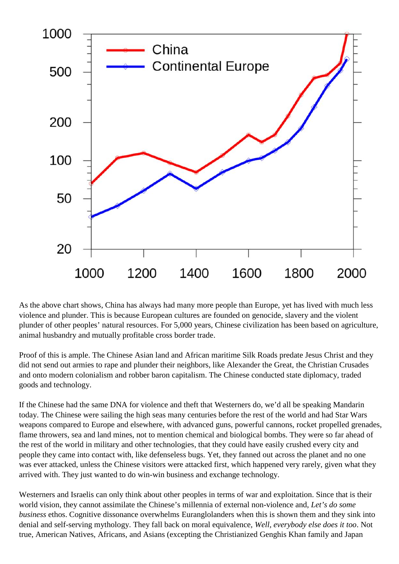

As the above chart shows, China has always had many more people than Europe, yet has lived with much less violence and plunder. This is because European cultures are founded on genocide, slavery and the violent plunder of other peoples' natural resources. For 5,000 years, Chinese civilization has been based on agriculture, animal husbandry and mutually profitable cross border trade.

Proof of this is ample. The Chinese Asian land and African maritime Silk Roads predate Jesus Christ and they did not send out armies to rape and plunder their neighbors, like Alexander the Great, the Christian Crusades and onto modern colonialism and robber baron capitalism. The Chinese conducted state diplomacy, traded goods and technology.

If the Chinese had the same DNA for violence and theft that Westerners do, we'd all be speaking Mandarin today. The Chinese were sailing the high seas many centuries before the rest of the world and had Star Wars weapons compared to Europe and elsewhere, with advanced guns, powerful cannons, rocket propelled grenades, flame throwers, sea and land mines, not to mention chemical and biological bombs. They were so far ahead of the rest of the world in military and other technologies, that they could have easily crushed every city and people they came into contact with, like defenseless bugs. Yet, they fanned out across the planet and no one was ever attacked, unless the Chinese visitors were attacked first, which happened very rarely, given what they arrived with. They just wanted to do win-win business and exchange technology.

Westerners and Israelis can only think about other peoples in terms of war and exploitation. Since that is their world vision, they cannot assimilate the Chinese's millennia of external non-violence and, *Let's do some business* ethos. Cognitive dissonance overwhelms Euranglolanders when this is shown them and they sink into denial and self-serving mythology. They fall back on moral equivalence, *Well, everybody else does it too*. Not true, American Natives, Africans, and Asians (excepting the Christianized Genghis Khan family and Japan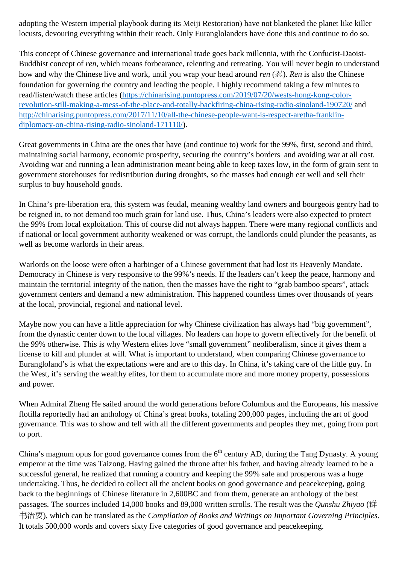adopting the Western imperial playbook during its Meiji Restoration) have not blanketed the planet like killer locusts, devouring everything within their reach. Only Euranglolanders have done this and continue to do so.

This concept of Chinese governance and international trade goes back millennia, with the Confucist-Daoist- Buddhist concept of *ren*, which means forbearance, relenting and retreating. You will never begin to understand how and why the Chinese live and work, until you wrap your head around *ren* (忍). *Ren* is also the Chinese foundation for governing the country and leading the people. I highly recommend taking a few minutes to read/listen/watch these articles (https://chinarising.puntopress.com/2019/07/20/wests-hong-kong-colorrevolution-still-making-a-mess-of-the-place-and-totally-backfiring-china-rising-radio-sinoland-190720/ and http://chinarising.puntopress.com/2017/11/10/all-the-chinese-people-want-is-respect-aretha-franklin diplomacy-on-china-rising-radio-sinoland-171110/).

Great governments in China are the ones that have (and continue to) work for the 99%, first, second and third, maintaining social harmony, economic prosperity, securing the country's borders and avoiding war at all cost. Avoiding war and running a lean administration meant being able to keep taxes low, in the form of grain sent to government storehouses for redistribution during droughts, so the masses had enough eat well and sell their surplus to buy household goods.

In China's pre-liberation era, this system was feudal, meaning wealthy land owners and bourgeois gentry had to be reigned in, to not demand too much grain for land use. Thus, China's leaders were also expected to protect the 99% from local exploitation. This of course did not always happen. There were many regional conflicts and if national or local government authority weakened or was corrupt, the landlords could plunder the peasants, as well as become warlords in their areas.

Warlords on the loose were often a harbinger of a Chinese government that had lost its Heavenly Mandate. Democracy in Chinese is very responsive to the 99%'s needs. If the leaders can't keep the peace, harmony and maintain the territorial integrity of the nation, then the masses have the right to "grab bamboo spears", attack government centers and demand a new administration. This happened countless times over thousands of years at the local, provincial, regional and national level.

Maybe now you can have a little appreciation for why Chinese civilization has always had "big government", from the dynastic center down to the local villages. No leaders can hope to govern effectively for the benefit of the 99% otherwise. This is why Western elites love "small government" neoliberalism, since it gives them a license to kill and plunder at will. What is important to understand, when comparing Chinese governance to Eurangloland's is what the expectations were and are to this day. In China, it's taking care of the little guy. In the West, it's serving the wealthy elites, for them to accumulate more and more money property, possessions and power.

When Admiral Zheng He sailed around the world generations before Columbus and the Europeans, his massive flotilla reportedly had an anthology of China's great books, totaling 200,000 pages, including the art of good governance. This was to show and tell with all the different governments and peoples they met, going from port to port.

China's magnum opus for good governance comes from the  $6<sup>th</sup>$  century AD, during the Tang Dynasty. A young emperor at the time was Taizong. Having gained the throne after his father, and having already learned to be a successful general, he realized that running a country and keeping the 99% safe and prosperous was a huge undertaking. Thus, he decided to collect all the ancient books on good governance and peacekeeping, going back to the beginnings of Chinese literature in 2,600BC and from them, generate an anthology of the best passages. The sources included 14,000 books and 89,000 written scrolls. The result was the *Qunshu Zhiyao* (群 治要), which can be translated as the *Compilation of Books and Writings on Important Governing Principles*. It totals 500,000 words and covers sixty five categories of good governance and peacekeeping.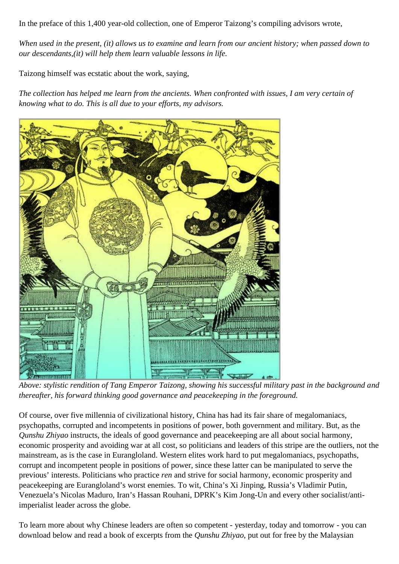In the preface of this 1,400 year-old collection, one of Emperor Taizong's compiling advisors wrote,

*When used in the present, (it) allows us to examine and learn from our ancient history; when passed down to our descendants,(it) will help them learn valuable lessons in life.*

Taizong himself was ecstatic about the work, saying,

*The collection has helped me learn from the ancients. When confronted with issues, I am very certain of knowing what to do. This is all due to your efforts, my advisors.*



*Above: stylistic rendition of Tang Emperor Taizong, showing his successful military past in the background and thereafter, his forward thinking good governance and peacekeeping in the foreground.*

Of course, over five millennia of civilizational history, China has had its fair share of megalomaniacs, psychopaths, corrupted and incompetents in positions of power, both government and military. But, as the *Qunshu Zhiyao* instructs, the ideals of good governance and peacekeeping are all about social harmony, economic prosperity and avoiding war at all cost, so politicians and leaders of this stripe are the outliers, not the mainstream, as is the case in Eurangloland. Western elites work hard to put megalomaniacs, psychopaths, corrupt and incompetent people in positions of power, since these latter can be manipulated to serve the previous' interests. Politicians who practice *ren* and strive for social harmony, economic prosperity and peacekeeping are Eurangloland's worst enemies. To wit, China's Xi Jinping, Russia's Vladimir Putin, Venezuela's Nicolas Maduro, Iran's Hassan Rouhani, DPRK's Kim Jong-Un and every other socialist/antiimperialist leader across the globe.

To learn more about why Chinese leaders are often so competent - yesterday, today and tomorrow - you can download below and read a book of excerpts from the *Qunshu Zhiyao*, put out for free by the Malaysian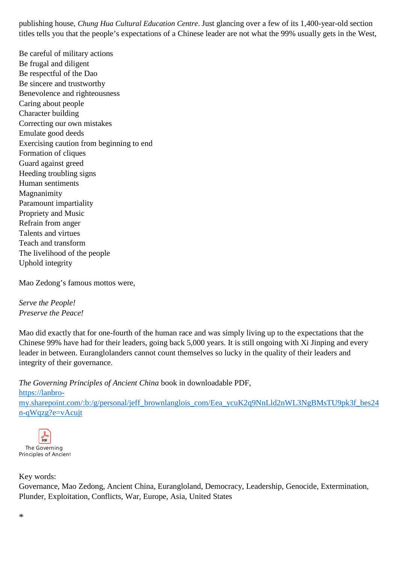publishing house, *Chung Hua Cultural Education Centre*. Just glancing over a few of its 1,400-year-old section titles tells you that the people's expectations of a Chinese leader are not what the 99% usually gets in the West,

Be careful of military actions Be frugal and diligent Be respectful of the Dao Be sincere and trustworthy Benevolence and righteousness Caring about people Character building Correcting our own mistakes Emulate good deeds Exercising caution from beginning to end Formation of cliques Guard against greed Heeding troubling signs Human sentiments Magnanimity Paramount impartiality Propriety and Music Refrain from anger Talents and virtues Teach and transform The livelihood of the people Uphold integrity

Mao Zedong's famous mottos were,

*Serve the People! Preserve the Peace!*

Mao did exactly that for one-fourth of the human race and was simply living up to the expectations that the Chinese 99% have had for their leaders, going back 5,000 years. It is still ongoing with Xi Jinping and every leader in between. Euranglolanders cannot count themselves so lucky in the quality of their leaders and integrity of their governance.

*The Governing Principles of Ancient China* book in downloadable PDF, https://lanbro my.sharepoint.com/:b:/g/personal/jeff\_brownlanglois\_com/Eea\_ycuK2q9NnLld2nWL3NgBMsTU9pk3f\_bes24 n-qWqzg?e=vAcujt



## Key words:

Governance, Mao Zedong, Ancient China, Eurangloland, Democracy, Leadership, Genocide, Extermination, Plunder, Exploitation, Conflicts, War, Europe, Asia, United States